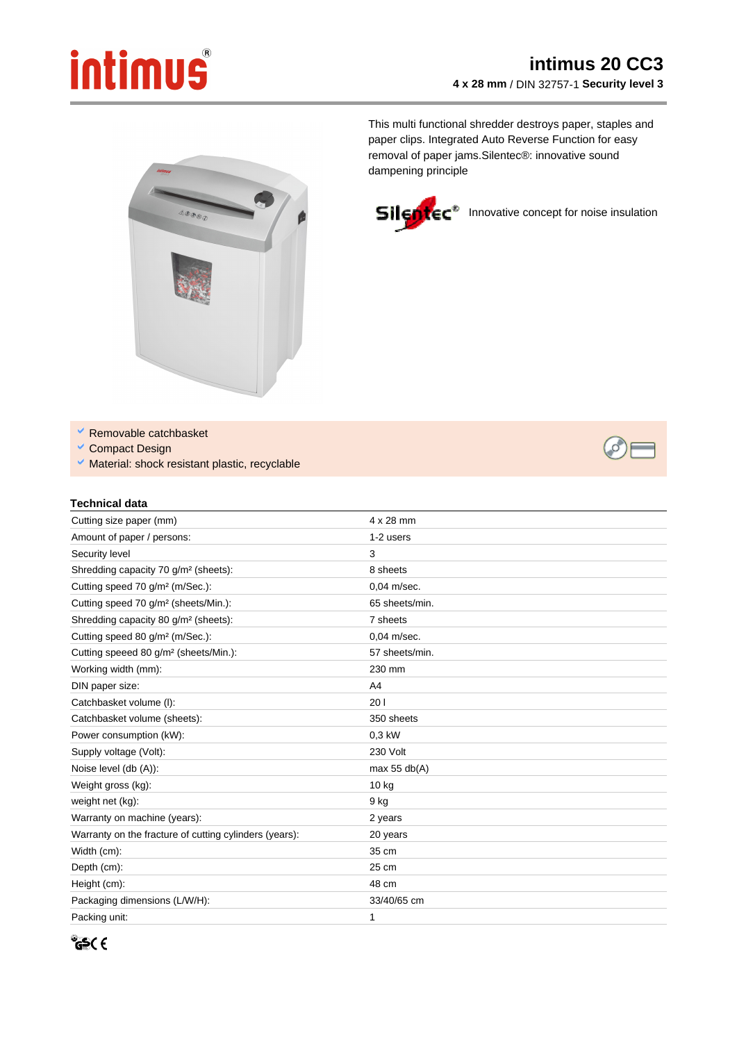## **intimus**

## **intimus 20 CC3 4 x 28 mm** / DIN 32757-1 **Security level 3**

This multi functional shredder destroys paper, staples and paper clips. Integrated Auto Reverse Function for easy removal of paper jams.Silentec®: innovative sound dampening principle



Silentec<sup>®</sup> Innovative concept for noise insulation



V Removable catchbasket

- Compact Design
- V Material: shock resistant plastic, recyclable

## **Technical data**

| Cutting size paper (mm)                                | $4 \times 28$ mm |
|--------------------------------------------------------|------------------|
| Amount of paper / persons:                             | 1-2 users        |
| Security level                                         | 3                |
| Shredding capacity 70 g/m <sup>2</sup> (sheets):       | 8 sheets         |
| Cutting speed 70 g/m <sup>2</sup> (m/Sec.):            | 0.04 m/sec.      |
| Cutting speed 70 g/m <sup>2</sup> (sheets/Min.):       | 65 sheets/min.   |
| Shredding capacity 80 g/m <sup>2</sup> (sheets):       | 7 sheets         |
| Cutting speed 80 g/m <sup>2</sup> (m/Sec.):            | $0.04$ m/sec.    |
| Cutting speeed 80 g/m <sup>2</sup> (sheets/Min.):      | 57 sheets/min.   |
| Working width (mm):                                    | 230 mm           |
| DIN paper size:                                        | A4               |
| Catchbasket volume (I):                                | 201              |
| Catchbasket volume (sheets):                           | 350 sheets       |
| Power consumption (kW):                                | 0.3 kW           |
| Supply voltage (Volt):                                 | 230 Volt         |
| Noise level (db (A)):                                  | max 55 $db(A)$   |
| Weight gross (kg):                                     | $10$ kg          |
| weight net (kg):                                       | 9 kg             |
| Warranty on machine (years):                           | 2 years          |
| Warranty on the fracture of cutting cylinders (years): | 20 years         |
| Width (cm):                                            | 35 cm            |
| Depth (cm):                                            | 25 cm            |
| Height (cm):                                           | 48 cm            |
| Packaging dimensions (L/W/H):                          | 33/40/65 cm      |
| Packing unit:                                          | 1                |